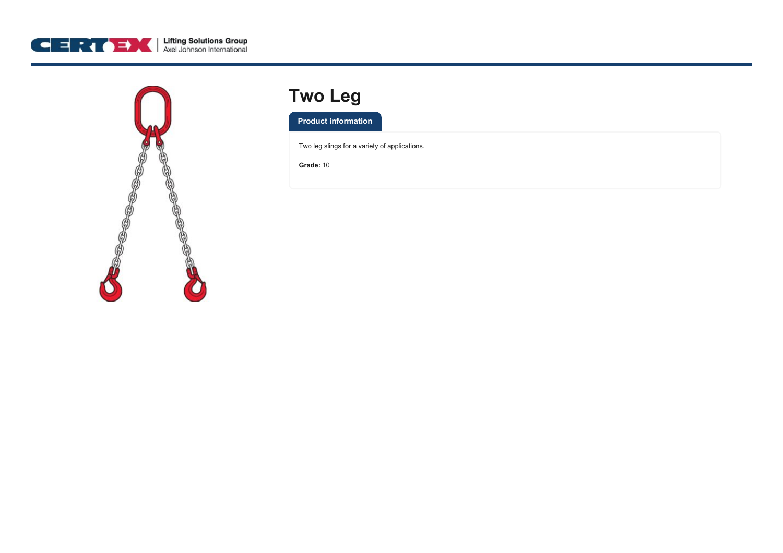



## **Two Leg**

**Product information**

Two leg slings for a variety of applications.

**Grade:** 10